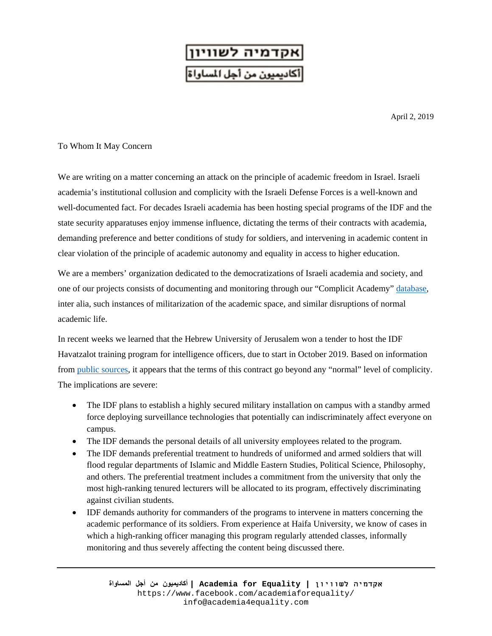

April 2, 2019

## To Whom It May Concern

We are writing on a matter concerning an attack on the principle of academic freedom in Israel. Israeli academia's institutional collusion and complicity with the Israeli Defense Forces is a well-known and well-documented fact. For decades Israeli academia has been hosting special programs of the IDF and the state security apparatuses enjoy immense influence, dictating the terms of their contracts with academia, demanding preference and better conditions of study for soldiers, and intervening in academic content in clear violation of the principle of academic autonomy and equality in access to higher education.

We are a members' organization dedicated to the democratizations of Israeli academia and society, and one of our projects consists of documenting and monitoring through our "Complicit Academy" [database,](https://www.zotero.org/search/q/A4E%20complicit%20academy/type/group) inter alia, such instances of militarization of the academic space, and similar disruptions of normal academic life.

In recent weeks we learned that the Hebrew University of Jerusalem won a tender to host the IDF Havatzalot training program for intelligence officers, due to start in October 2019. Based on information from [public sources,](https://www.haaretz.com/israel-news/.premium-military-personnel-alongside-students-israeli-army-seeks-bases-in-universities-1.7047865) it appears that the terms of this contract go beyond any "normal" level of complicity. The implications are severe:

- The IDF plans to establish a highly secured military installation on campus with a standby armed force deploying surveillance technologies that potentially can indiscriminately affect everyone on campus.
- The IDF demands the personal details of all university employees related to the program.
- The IDF demands preferential treatment to hundreds of uniformed and armed soldiers that will flood regular departments of Islamic and Middle Eastern Studies, Political Science, Philosophy, and others. The preferential treatment includes a commitment from the university that only the most high-ranking tenured lecturers will be allocated to its program, effectively discriminating against civilian students.
- IDF demands authority for commanders of the programs to intervene in matters concerning the academic performance of its soldiers. From experience at Haifa University, we know of cases in which a high-ranking officer managing this program regularly attended classes, informally monitoring and thus severely affecting the content being discussed there.